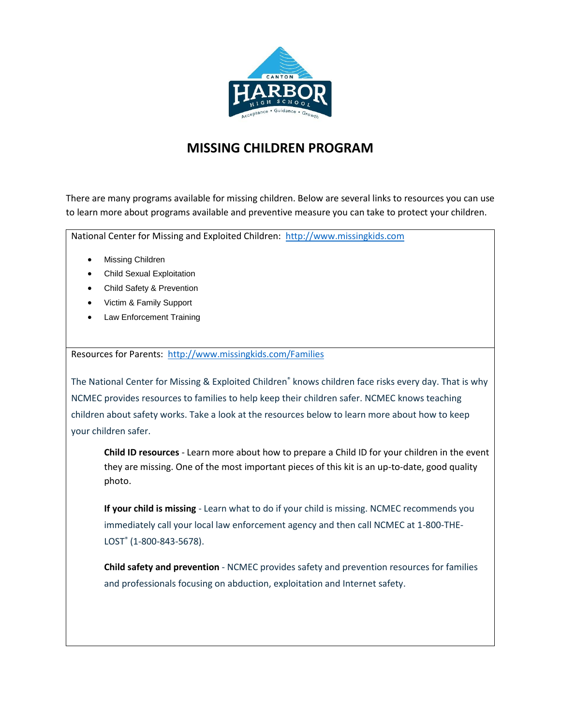

## **MISSING CHILDREN PROGRAM**

There are many programs available for missing children. Below are several links to resources you can use to learn more about programs available and preventive measure you can take to protect your children.

National Center for Missing and Exploited Children: [http://www.missingkids.com](http://www.missingkids.com/)

- [Missing Children](http://www.missingkids.com/Missing)
- [Child Sexual Exploitation](http://www.missingkids.com/Exploitation)
- [Child Safety & Prevention](http://www.missingkids.com/Safety)
- [Victim & Family Support](http://www.missingkids.com/Support)
- [Law Enforcement Training](http://www.missingkids.com/Training)

Resources for Parents: <http://www.missingkids.com/Families>

The National Center for Missing & Exploited Children<sup>®</sup> knows children face risks every day. That is why NCMEC provides resources to families to help keep their children safer. NCMEC knows teaching children about safety works. Take a look at the resources below to learn more about how to keep your children safer.

**Child ID [resources](http://www.missingkids.com/ChildID)** - Learn more about how to prepare a Child ID for your children in the event they are missing. One of the most important pieces of this kit is an up-to-date, good quality photo.

**If your child is [missing](http://www.missingkids.com/MissingChild)** - Learn what to do if your child is missing. NCMEC recommends you immediately call your local law enforcement agency and then call NCMEC at 1-800-THE-LOST® (1-800-843-5678).

**Child safety and [prevention](http://www.missingkids.com/Safety)** - NCMEC provides safety and prevention resources for families and professionals focusing on abduction, exploitation and Internet safety.